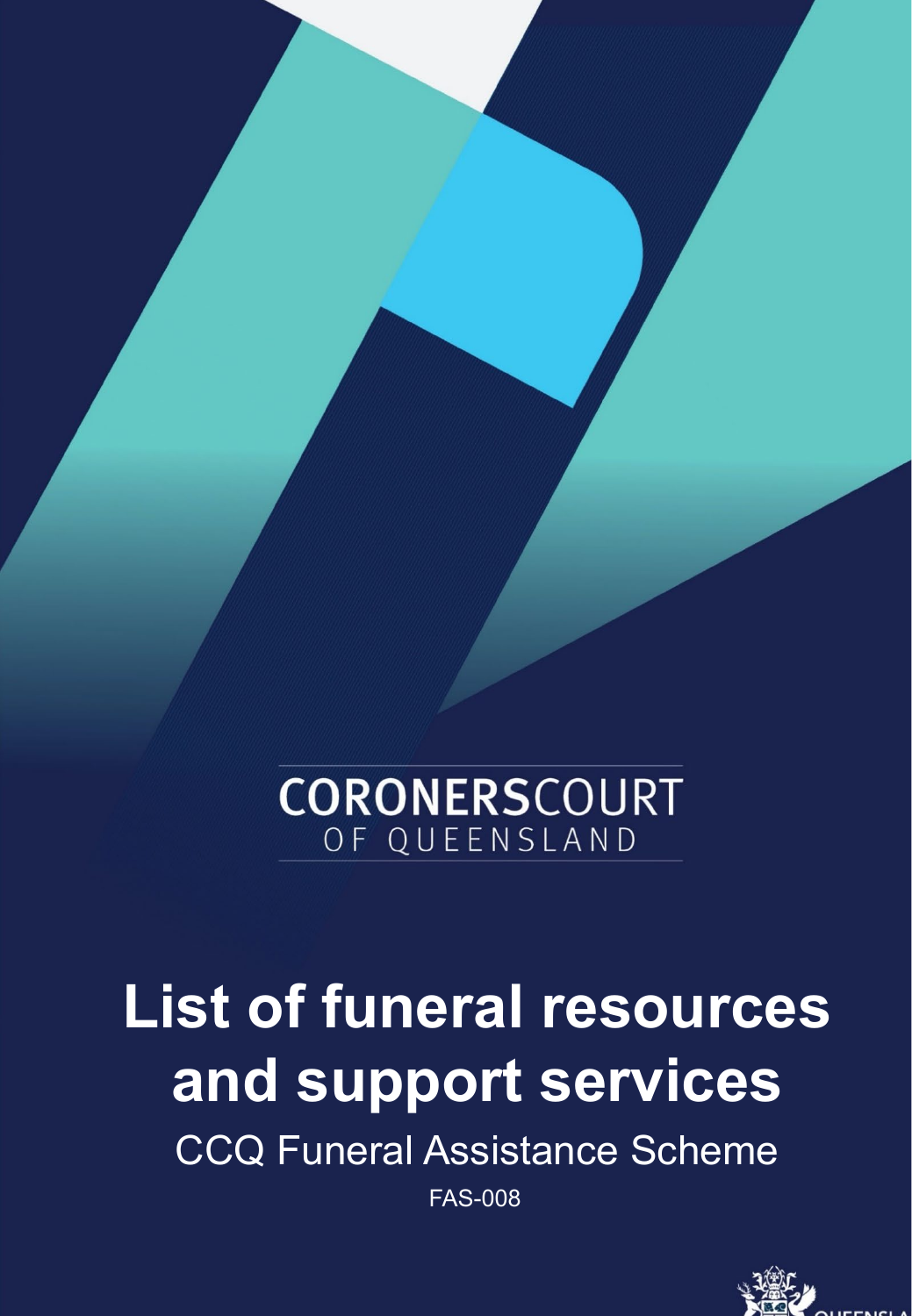# **CORONERSCOURT** OF QUEENSLAND

# **List of funeral resources and support services**

CCQ Funeral Assistance Scheme

FAS-008

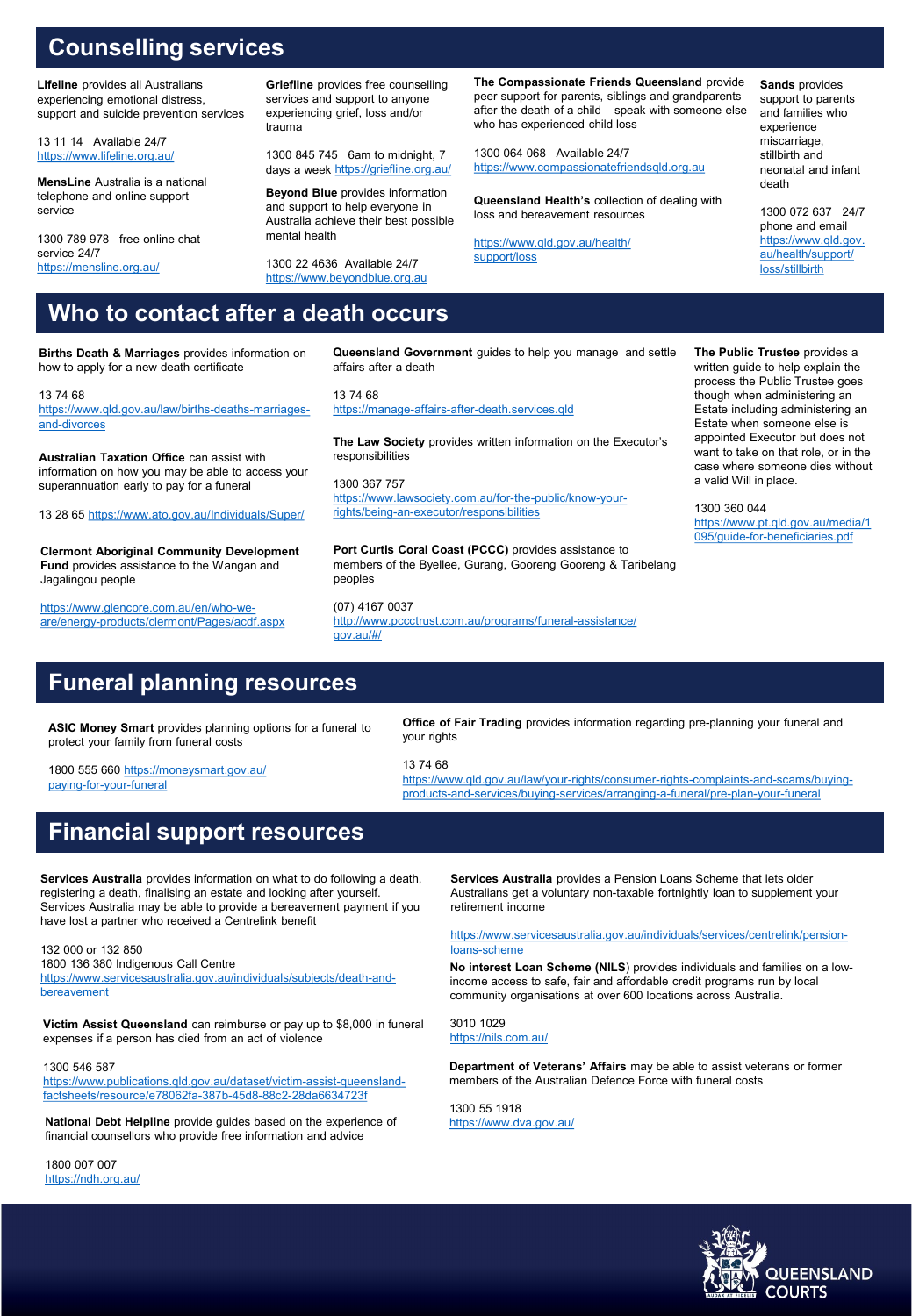# **Counselling services**

**Lifeline** provides all Australians experiencing emotional distress, support and suicide prevention services

13 11 14 Available 24/7 <https://www.lifeline.org.au/>

**MensLine** Australia is a national telephone and online support service

1300 789 978 free online chat service 24/7 <https://mensline.org.au/>

**Griefline** provides free counselling services and support to anyone experiencing grief, loss and/or trauma

1300 845 745 6am to midnight, 7 days a week<https://griefline.org.au/>

**Beyond Blue** provides information and support to help everyone in Australia achieve their best possible mental health

1300 22 4636 Available 24/7 [https://www.beyondblue.org.au](https://www.beyondblue.org.au/)

responsibilities

**The Compassionate Friends Queensland** provide peer support for parents, siblings and grandparents after the death of a child – speak with someone else who has experienced child loss

1300 064 068 Available 24/7 [https://www.compassionatefriendsqld.org.au](https://www.compassionatefriendsqld.org.au/)

**Queensland Health's** collection of dealing with loss and bereavement resources

[https://www.qld.gov.au/health/](https://www.qld.gov.au/health/support/loss) [support/loss](https://www.qld.gov.au/health/support/loss)

**Sands** provides support to parents and families who experience miscarriage, stillbirth and neonatal and infant death

1300 072 637 24/7 phone and email [https://www.qld.gov.](https://www.qld.gov.au/health/support/loss/stillbirth) au/health/support/ [loss/stillbirth](https://www.qld.gov.au/health/support/loss/stillbirth)

# **Who to contact after a death occurs**

**Births Death & Marriages** provides information on how to apply for a new death certificate

**Queensland Government** guides to help you manage and settle affairs after a death

13 74 68 [https://www.qld.gov.au/law/births-deaths-marriages](https://www.qld.gov.au/law/births-deaths-marriages-and-divorces)and-divorces 13 74 68 [https://manage-affairs-after-death.services.qld](https://manage-affairs-after-death.services.qld/)

**Australian Taxation Office** can assist with information on how you may be able to access your superannuation early to pay for a funeral

13 28 65<https://www.ato.gov.au/Individuals/Super/>

**Clermont Aboriginal Community Development Fund** provides assistance to the Wangan and Jagalingou people

https://www.glencore.com.au/en/who-we[are/energy-products/clermont/Pages/acdf.aspx](https://www.glencore.com.au/en/who-we-are/energy-products/clermont/Pages/acdf.aspx)

1300 367 757 [https://www.lawsociety.com.au/for-the-public/know-your](https://www.lawsociety.com.au/for-the-public/know-your-rights/being-an-executor/responsibilities)rights/being-an-executor/responsibilities

**The Law Society** provides written information on the Executor's

**Port Curtis Coral Coast (PCCC)** provides assistance to members of the Byellee, Gurang, Gooreng Gooreng & Taribelang peoples

(07) 4167 0037 <http://www.pccctrust.com.au/programs/funeral-assistance/> [gov.au/#/](https://manage-affairs-after-death.services.qld.gov.au/#/)

**The Public Trustee** provides a written guide to help explain the process the Public Trustee goes though when administering an Estate including administering an Estate when someone else is appointed Executor but does not want to take on that role, or in the case where someone dies without a valid Will in place.

1300 360 044 [https://www.pt.qld.gov.au/media/1](https://www.pt.qld.gov.au/media/1095/guide-for-beneficiaries.pdf) 095/guide-for-beneficiaries.pdf

#### **Funeral planning resources**

**ASIC Money Smart** provides planning options for a funeral to protect your family from funeral costs

1800 555 660 [https://moneysmart.gov.au/](https://moneysmart.gov.au/paying-for-your-funeral) your rights 13 74 68

[https://www.qld.gov.au/law/your-rights/consumer-rights-complaints-and-scams/buying](https://www.qld.gov.au/law/your-rights/consumer-rights-complaints-and-scams/buying-products-and-services/buying-services/arranging-a-funeral/pre-plan-your-funeral)products-and-services/buying-services/arranging-a-funeral/pre-plan-your-funeral

**Office of Fair Trading** provides information regarding pre-planning your funeral and

[paying-for-your-funeral](https://moneysmart.gov.au/paying-for-your-funeral)

### **Financial support resources**

**Services Australia** provides information on what to do following a death, registering a death, finalising an estate and looking after yourself. Services Australia may be able to provide a bereavement payment if you have lost a partner who received a Centrelink benefit

132 000 or 132 850 1800 136 380 Indigenous Call Centre [https://www.servicesaustralia.gov.au/individuals/subjects/death-and](https://www.servicesaustralia.gov.au/individuals/subjects/death-and-bereavement)bereavement

**Victim Assist Queensland** can reimburse or pay up to \$8,000 in funeral expenses if a person has died from an act of violence

1300 546 587 [https://www.publications.qld.gov.au/dataset/victim-assist-queensland](https://www.publications.qld.gov.au/dataset/victim-assist-queensland-factsheets/resource/e78062fa-387b-45d8-88c2-28da6634723f)factsheets/resource/e78062fa-387b-45d8-88c2-28da6634723f

**National Debt Helpline** provide guides based on the experience of financial counsellors who provide free information and advice

1800 007 007 <https://ndh.org.au/> **Services Australia** provides a Pension Loans Scheme that lets older Australians get a voluntary non-taxable fortnightly loan to supplement your retirement income

[https://www.servicesaustralia.gov.au/individuals/services/centrelink/pension](https://www.servicesaustralia.gov.au/individuals/services/centrelink/pension-loans-scheme)loans-scheme

**No interest Loan Scheme (NILS**) provides individuals and families on a lowincome access to safe, fair and affordable credit programs run by local community organisations at over 600 locations across Australia.

3010 1029 <https://nils.com.au/>

**Department of Veterans' Affairs** may be able to assist veterans or former members of the Australian Defence Force with funeral costs

1300 55 1918 <https://www.dva.gov.au/>